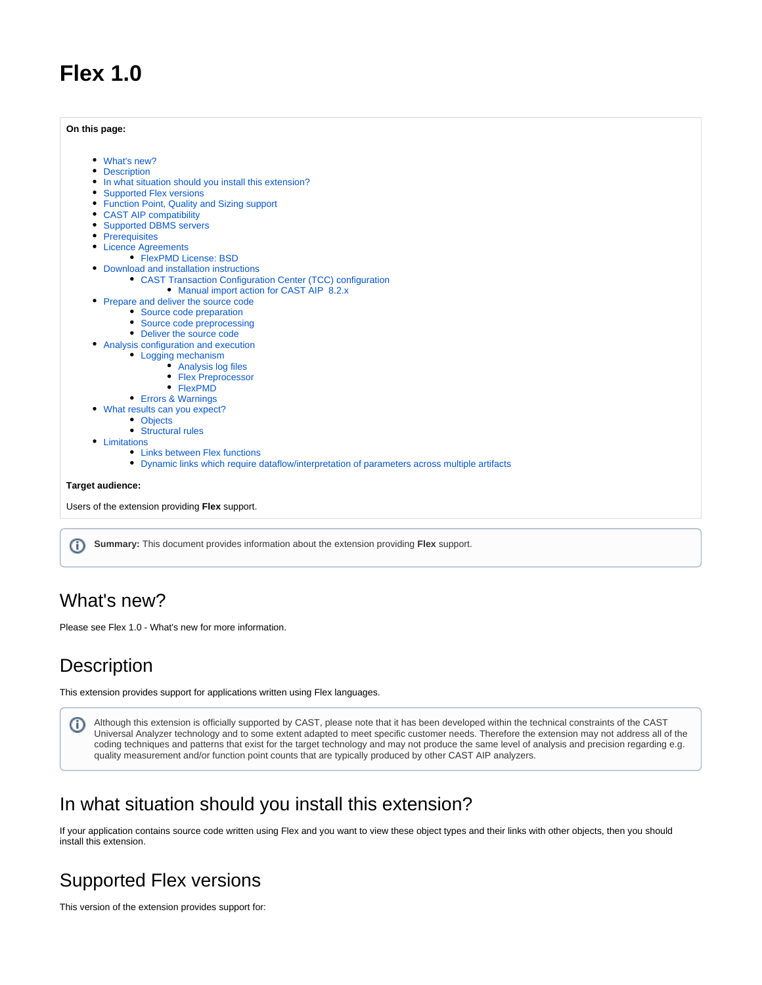# **Flex 1.0**

**On this page:**

|                  | What's new?                                                                                   |
|------------------|-----------------------------------------------------------------------------------------------|
|                  | <b>Description</b>                                                                            |
|                  | In what situation should you install this extension?                                          |
|                  | <b>Supported Flex versions</b>                                                                |
|                  | • Function Point, Quality and Sizing support                                                  |
|                  | • CAST AIP compatibility                                                                      |
|                  | <b>Supported DBMS servers</b>                                                                 |
|                  | • Prerequisites                                                                               |
|                  | • Licence Agreements                                                                          |
|                  | • FlexPMD License: BSD                                                                        |
|                  | • Download and installation instructions                                                      |
|                  | • CAST Transaction Configuration Center (TCC) configuration                                   |
|                  | • Manual import action for CAST AIP 8.2.x                                                     |
|                  | Prepare and deliver the source code                                                           |
|                  | • Source code preparation                                                                     |
|                  | • Source code preprocessing                                                                   |
|                  | • Deliver the source code                                                                     |
|                  | • Analysis configuration and execution                                                        |
|                  | • Logging mechanism                                                                           |
|                  | • Analysis log files                                                                          |
|                  | • Flex Preprocessor                                                                           |
|                  | • FlexPMD                                                                                     |
|                  | • Errors & Warnings                                                                           |
|                  | What results can you expect?                                                                  |
|                  | • Objects                                                                                     |
|                  | • Structural rules                                                                            |
| ٠                | Limitations                                                                                   |
|                  | • Links between Flex functions                                                                |
|                  | • Dynamic links which require dataflow/interpretation of parameters across multiple artifacts |
| Target audience: |                                                                                               |
|                  | Users of the extension providing Flex support.                                                |
|                  |                                                                                               |
|                  |                                                                                               |

ത **Summary:** This document provides information about the extension providing **Flex** support.

## <span id="page-0-0"></span>What's new?

Please see Flex 1.0 - What's new for more information.

## <span id="page-0-1"></span>**Description**

This extension provides support for applications written using Flex languages.

Although this extension is officially supported by CAST, please note that it has been developed within the technical constraints of the CAST ➀ Universal Analyzer technology and to some extent adapted to meet specific customer needs. Therefore the extension may not address all of the coding techniques and patterns that exist for the target technology and may not produce the same level of analysis and precision regarding e.g. quality measurement and/or function point counts that are typically produced by other CAST AIP analyzers.

## <span id="page-0-2"></span>In what situation should you install this extension?

If your application contains source code written using Flex and you want to view these object types and their links with other objects, then you should install this extension.

# <span id="page-0-3"></span>Supported Flex versions

This version of the extension provides support for: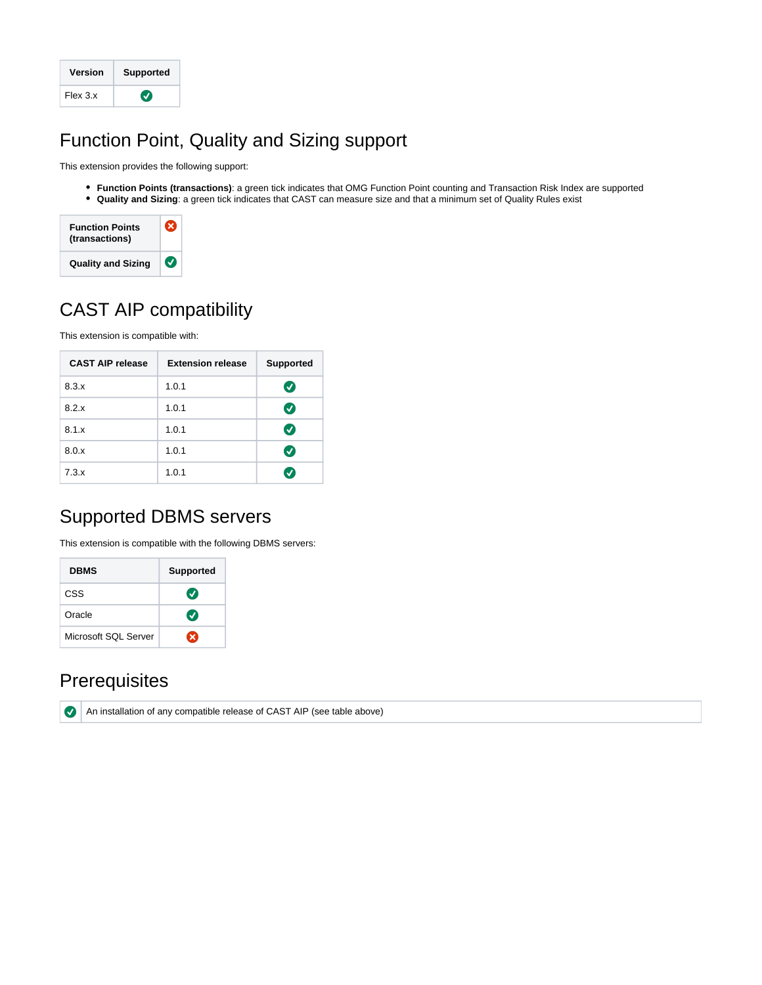| Version  | <b>Supported</b> |
|----------|------------------|
| Flex 3.x | V                |

# <span id="page-1-0"></span>Function Point, Quality and Sizing support

This extension provides the following support:

**Function Points (transactions)**: a green tick indicates that OMG Function Point counting and Transaction Risk Index are supported **Quality and Sizing**: a green tick indicates that CAST can measure size and that a minimum set of Quality Rules exist



# <span id="page-1-1"></span>CAST AIP compatibility

This extension is compatible with:

| <b>CAST AIP release</b> | <b>Extension release</b> | <b>Supported</b> |
|-------------------------|--------------------------|------------------|
| 8.3.x                   | 1.0.1                    | $\bm{v}$         |
| 8.2.x                   | 1.0.1                    | $\bm{v}$         |
| 8.1.x                   | 1.0.1                    | $\bm{v}$         |
| 8.0.x                   | 1.0.1                    | $\bm{J}$         |
| 7.3.x                   | 1.0.1                    | $\checkmark$     |

# <span id="page-1-2"></span>Supported DBMS servers

This extension is compatible with the following DBMS servers:

| <b>DBMS</b>          | <b>Supported</b> |
|----------------------|------------------|
| CSS                  | $\bm{J}$         |
| Oracle               | $\bullet$        |
| Microsoft SQL Server | ×                |

## <span id="page-1-3"></span>**Prerequisites**

 $\bullet$ 

An installation of any compatible release of CAST AIP (see table above)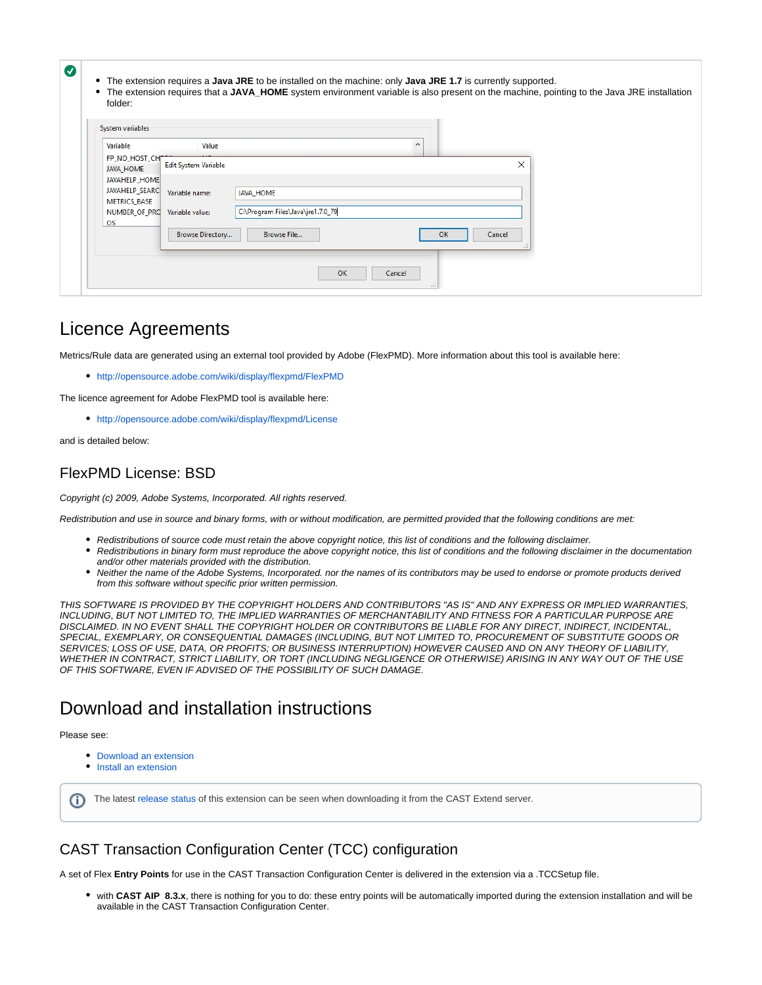| folder:                           |                      |                                   |          |           |        |  |
|-----------------------------------|----------------------|-----------------------------------|----------|-----------|--------|--|
| System variables                  |                      |                                   |          |           |        |  |
| Variable                          | Value                |                                   | $\wedge$ |           |        |  |
| FP_NO_HOST_CH<br><b>JAVA HOME</b> | Edit System Variable |                                   |          |           | ×      |  |
| <b>JAVAHELP HOME</b>              |                      |                                   |          |           |        |  |
| JAVAHELP_SEARC                    | Variable name:       | <b>JAVA HOME</b>                  |          |           |        |  |
| <b>METRICS_BASE</b>               |                      |                                   |          |           |        |  |
| NUMBER OF PRO                     | Variable value:      | C:\Program Files\Java\jre1.7.0_79 |          |           |        |  |
| <b>OS</b>                         |                      |                                   |          |           |        |  |
|                                   | Browse Directory     | Browse File                       |          | <b>OK</b> | Cancel |  |
|                                   |                      |                                   |          |           |        |  |

### <span id="page-2-0"></span>Licence Agreements

Metrics/Rule data are generated using an external tool provided by Adobe (FlexPMD). More information about this tool is available here:

<http://opensource.adobe.com/wiki/display/flexpmd/FlexPMD>

The licence agreement for Adobe FlexPMD tool is available here:

<http://opensource.adobe.com/wiki/display/flexpmd/License>

and is detailed below:

#### <span id="page-2-1"></span>FlexPMD License: BSD

Copyright (c) 2009, Adobe Systems, Incorporated. All rights reserved.

Redistribution and use in source and binary forms, with or without modification, are permitted provided that the following conditions are met:

- Redistributions of source code must retain the above copyright notice, this list of conditions and the following disclaimer.
- Redistributions in binary form must reproduce the above copyright notice, this list of conditions and the following disclaimer in the documentation and/or other materials provided with the distribution.
- Neither the name of the Adobe Systems, Incorporated. nor the names of its contributors may be used to endorse or promote products derived from this software without specific prior written permission.

THIS SOFTWARE IS PROVIDED BY THE COPYRIGHT HOLDERS AND CONTRIBUTORS "AS IS" AND ANY EXPRESS OR IMPLIED WARRANTIES, INCLUDING, BUT NOT LIMITED TO, THE IMPLIED WARRANTIES OF MERCHANTABILITY AND FITNESS FOR A PARTICULAR PURPOSE ARE DISCLAIMED. IN NO EVENT SHALL THE COPYRIGHT HOLDER OR CONTRIBUTORS BE LIABLE FOR ANY DIRECT, INDIRECT, INCIDENTAL, SPECIAL, EXEMPLARY, OR CONSEQUENTIAL DAMAGES (INCLUDING, BUT NOT LIMITED TO, PROCUREMENT OF SUBSTITUTE GOODS OR SERVICES; LOSS OF USE, DATA, OR PROFITS; OR BUSINESS INTERRUPTION) HOWEVER CAUSED AND ON ANY THEORY OF LIABILITY, WHETHER IN CONTRACT, STRICT LIABILITY, OR TORT (INCLUDING NEGLIGENCE OR OTHERWISE) ARISING IN ANY WAY OUT OF THE USE OF THIS SOFTWARE, EVEN IF ADVISED OF THE POSSIBILITY OF SUCH DAMAGE.

### <span id="page-2-2"></span>Download and installation instructions

Please see:

- [Download an extension](https://doc.castsoftware.com/display/EXTEND/Download+an+extension)
- [Install an extension](https://doc.castsoftware.com/display/EXTEND/Install+an+extension)

The latest [release status](https://doc.castsoftware.com/display/EXTEND/Release+types) of this extension can be seen when downloading it from the CAST Extend server.G)

#### <span id="page-2-3"></span>CAST Transaction Configuration Center (TCC) configuration

A set of Flex **Entry Points** for use in the CAST Transaction Configuration Center is delivered in the extension via a .TCCSetup file.

with **CAST AIP 8.3.x**, there is nothing for you to do: these entry points will be automatically imported during the extension installation and will be available in the CAST Transaction Configuration Center.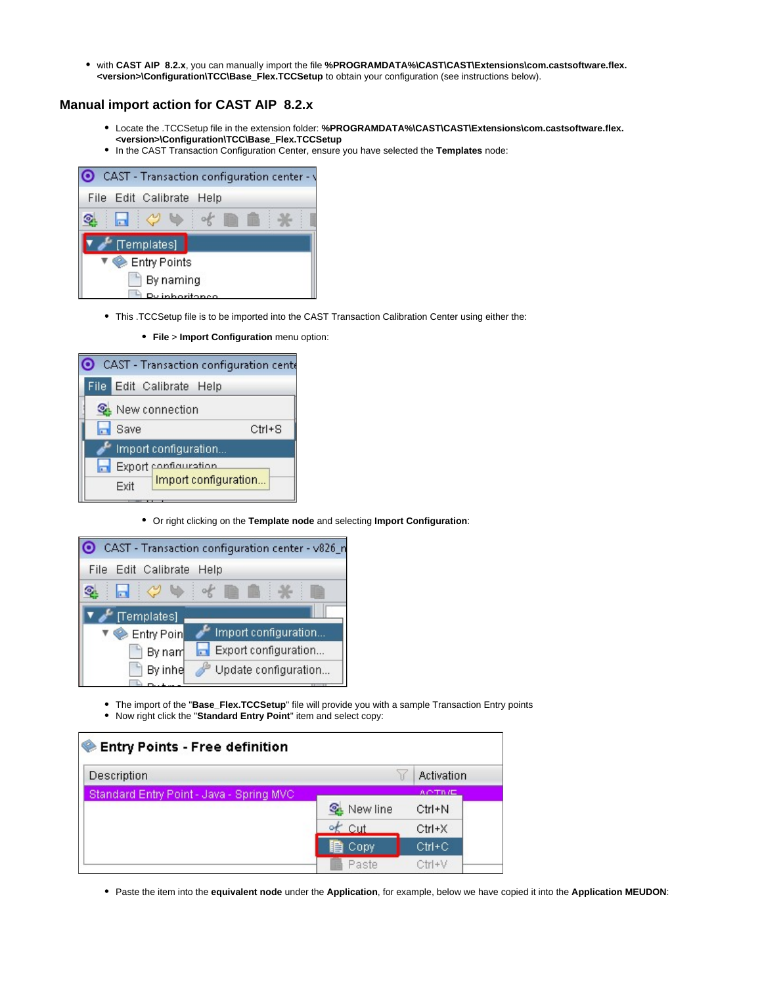with **CAST AIP 8.2.x**, you can manually import the file **%PROGRAMDATA%\CAST\CAST\Extensions\com.castsoftware.flex. <version>\Configuration\TCC\Base\_Flex.TCCSetup** to obtain your configuration (see instructions below).

#### <span id="page-3-0"></span>**Manual import action for CAST AIP 8.2.x**

- Locate the .TCCSetup file in the extension folder: **%PROGRAMDATA%\CAST\CAST\Extensions\com.castsoftware.flex. <version>\Configuration\TCC\Base\_Flex.TCCSetup**
- In the CAST Transaction Configuration Center, ensure you have selected the **Templates** node:

|             |             | CAST - Transaction configuration center - \ |  |  |  |  |
|-------------|-------------|---------------------------------------------|--|--|--|--|
| <b>File</b> |             | Edit Calibrate Help                         |  |  |  |  |
|             |             |                                             |  |  |  |  |
|             | [Templates] |                                             |  |  |  |  |
|             |             | Entry Points                                |  |  |  |  |
|             |             | By naming                                   |  |  |  |  |
|             |             | inhoriton                                   |  |  |  |  |

- This .TCCSetup file is to be imported into the CAST Transaction Calibration Center using either the:
	- **File** > **Import Configuration** menu option:

|    |      |                          |                      | CAST - Transaction configuration cente |
|----|------|--------------------------|----------------------|----------------------------------------|
|    |      | File Edit Calibrate Help |                      |                                        |
|    |      | <b>Q.</b> New connection |                      |                                        |
| lт | Save |                          |                      | $Ctrl + S$                             |
|    |      | Import configuration     |                      |                                        |
|    |      | Export configuration     |                      |                                        |
|    | Exit |                          | Import configuration |                                        |

Or right clicking on the **Template node** and selecting **Import Configuration**:



The import of the "**Base\_Flex.TCCSetup**" file will provide you with a sample Transaction Entry points Now right click the "**Standard Entry Point**" item and select copy:

| Description                              |                   | Activation    |
|------------------------------------------|-------------------|---------------|
| Standard Entry Point - Java - Spring MVC |                   | <b>ACTIVE</b> |
|                                          | <b>Q</b> New line | $Ctrl + N$    |
|                                          | $\frac{1}{2}$ Cut | $Ctrl+X$      |
|                                          | <b>目</b> Copy     | $Ctrl + C$    |
|                                          | Paste             | $Ctr(+V)$     |

Paste the item into the **equivalent node** under the **Application**, for example, below we have copied it into the **Application MEUDON**: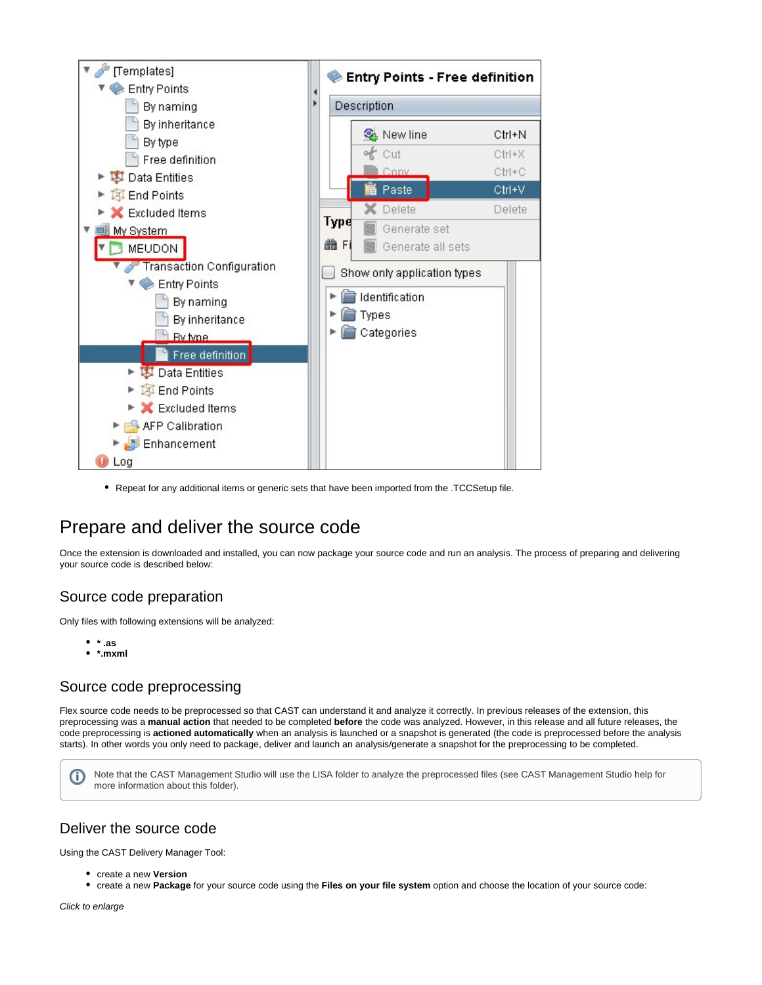

Repeat for any additional items or generic sets that have been imported from the .TCCSetup file.

## <span id="page-4-0"></span>Prepare and deliver the source code

Once the extension is downloaded and installed, you can now package your source code and run an analysis. The process of preparing and delivering your source code is described below:

### <span id="page-4-1"></span>Source code preparation

Only files with following extensions will be analyzed:

- **\* .as**
- **\*.mxml**

### <span id="page-4-2"></span>Source code preprocessing

Flex source code needs to be preprocessed so that CAST can understand it and analyze it correctly. In previous releases of the extension, this preprocessing was a **manual action** that needed to be completed **before** the code was analyzed. However, in this release and all future releases, the code preprocessing is **actioned automatically** when an analysis is launched or a snapshot is generated (the code is preprocessed before the analysis starts). In other words you only need to package, deliver and launch an analysis/generate a snapshot for the preprocessing to be completed.

Note that the CAST Management Studio will use the LISA folder to analyze the preprocessed files (see CAST Management Studio help for (i) more information about this folder).

### <span id="page-4-3"></span>Deliver the source code

Using the CAST Delivery Manager Tool:

- create a new **Version**
- create a new **Package** for your source code using the **Files on your file system** option and choose the location of your source code:

Click to enlarge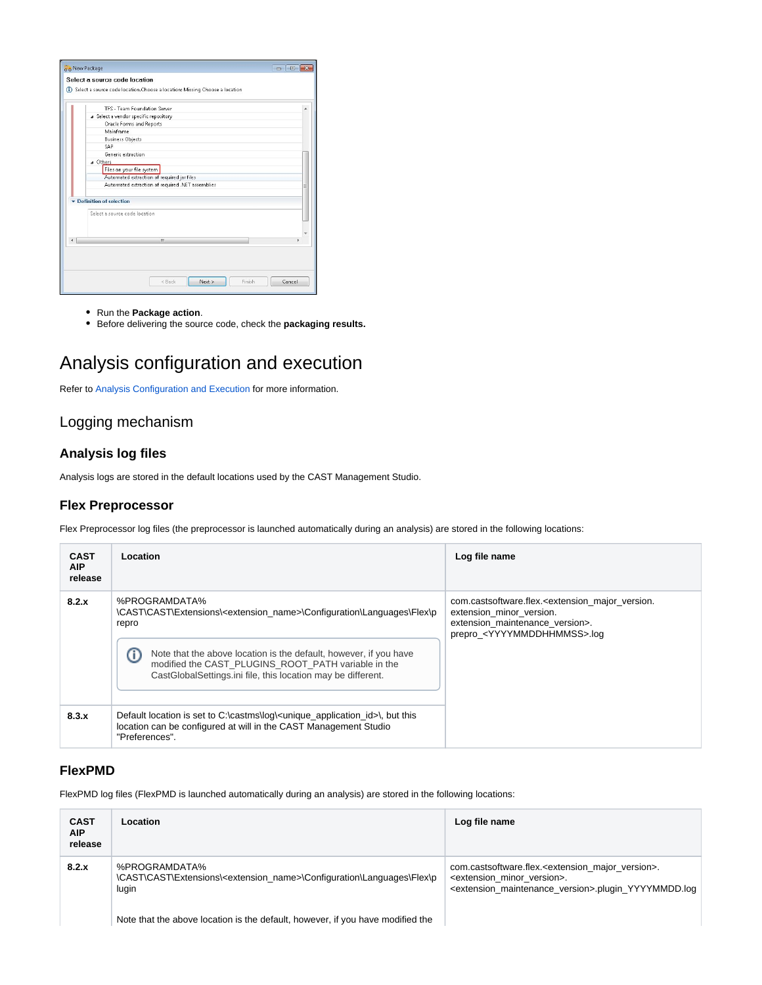| TES - Team Enundation Server                     |   |
|--------------------------------------------------|---|
| a Select a vendor specific repository            |   |
| Oracle Forms and Reports                         |   |
| Mainframe                                        |   |
| <b>Business Objects</b>                          |   |
| SAP                                              |   |
| Generic extraction                               |   |
| a Others                                         |   |
| Files on your file system                        |   |
| Automated extraction of required jar files       |   |
| Automated extraction of required .NET assemblies | Ξ |
| Definition of selection                          |   |
|                                                  |   |
| Select a source code location.                   |   |
|                                                  |   |
|                                                  |   |
| ш                                                |   |
|                                                  |   |

- Run the **Package action**.
- Before delivering the source code, check the **packaging results.**

### <span id="page-5-0"></span>Analysis configuration and execution

Refer to [Analysis Configuration and Execution](https://doc.castsoftware.com/display/DOC83/Analysis+Configuration+and+Execution) for more information.

### <span id="page-5-1"></span>Logging mechanism

#### <span id="page-5-2"></span>**Analysis log files**

Analysis logs are stored in the default locations used by the CAST Management Studio.

#### <span id="page-5-3"></span>**Flex Preprocessor**

Flex Preprocessor log files (the preprocessor is launched automatically during an analysis) are stored in the following locations:

| <b>CAST</b><br>AIP.<br>release | Location                                                                                                                                                                                                                                                                                                                | Log file name                                                                                                                                                                          |
|--------------------------------|-------------------------------------------------------------------------------------------------------------------------------------------------------------------------------------------------------------------------------------------------------------------------------------------------------------------------|----------------------------------------------------------------------------------------------------------------------------------------------------------------------------------------|
| 8.2.x                          | %PROGRAMDATA%<br>\CAST\CAST\Extensions\ <extension_name>\Configuration\Languages\Flex\p<br/>repro<br/>ന<br/>Note that the above location is the default, however, if you have<br/>modified the CAST PLUGINS ROOT PATH variable in the<br/>CastGlobalSettings.ini file, this location may be different.</extension_name> | com.castsoftware.flex. <extension major="" version.<br="">extension minor version.<br/>extension maintenance version&gt;.<br/>prepro <yyyymmddhhmmss>.log</yyyymmddhhmmss></extension> |
| 8.3.x                          | Default location is set to C:\castms\log\ <unique_application_id>\, but this<br/>location can be configured at will in the CAST Management Studio<br/>"Preferences".</unique_application_id>                                                                                                                            |                                                                                                                                                                                        |

#### <span id="page-5-4"></span>**FlexPMD**

FlexPMD log files (FlexPMD is launched automatically during an analysis) are stored in the following locations:

| <b>CAST</b><br>AIP.<br>release | Location                                                                                                                                                                                            | Log file name                                                                                                                                                                                  |
|--------------------------------|-----------------------------------------------------------------------------------------------------------------------------------------------------------------------------------------------------|------------------------------------------------------------------------------------------------------------------------------------------------------------------------------------------------|
| 8.2.x                          | %PROGRAMDATA%<br>\CAST\CAST\Extensions\ <extension name="">\Configuration\Languages\Flex\p<br/>lugin<br/>Note that the above location is the default, however, if you have modified the</extension> | com.castsoftware.flex. <extension major="" version="">.<br/><extension minor="" version="">.<br/><extension maintenance="" version="">.plugin YYYYMMDD.log</extension></extension></extension> |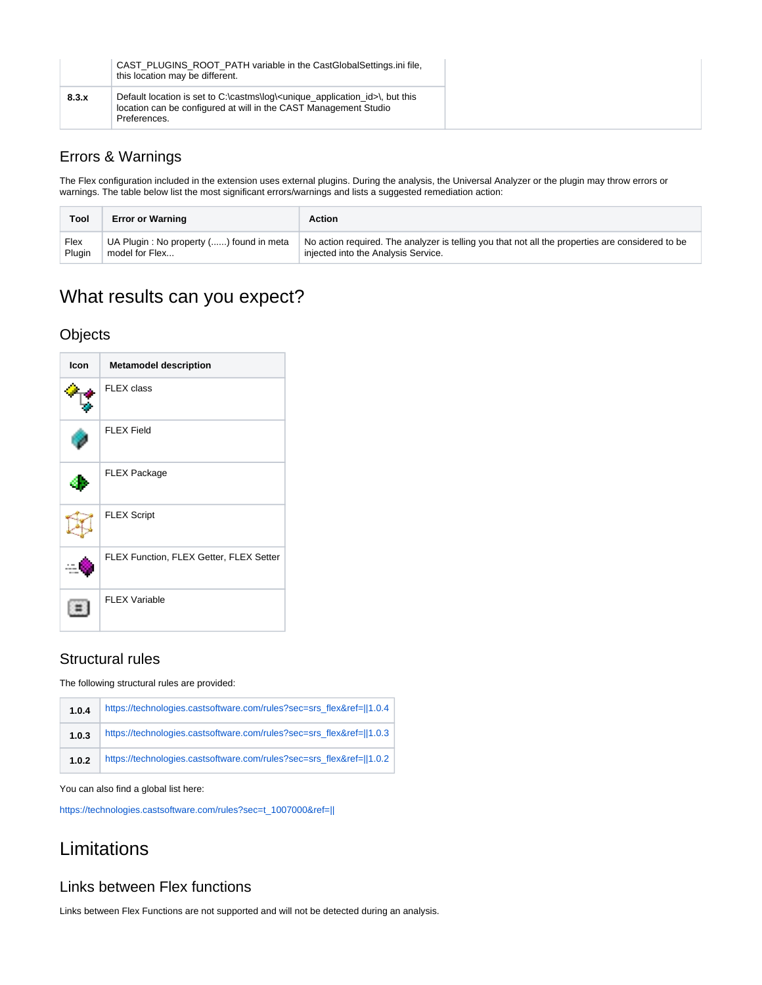|       | CAST PLUGINS ROOT PATH variable in the CastGlobalSettings.ini file.<br>this location may be different.                                                                                     |
|-------|--------------------------------------------------------------------------------------------------------------------------------------------------------------------------------------------|
| 8.3.x | Default location is set to C:\castms\log\ <unique_application_id>\, but this<br/>location can be configured at will in the CAST Management Studio<br/>Preferences.</unique_application_id> |

### <span id="page-6-0"></span>Errors & Warnings

The Flex configuration included in the extension uses external plugins. During the analysis, the Universal Analyzer or the plugin may throw errors or warnings. The table below list the most significant errors/warnings and lists a suggested remediation action:

| Tool   | <b>Error or Warning</b>                 | Action                                                                                           |
|--------|-----------------------------------------|--------------------------------------------------------------------------------------------------|
| Flex   | UA Plugin: No property () found in meta | No action required. The analyzer is telling you that not all the properties are considered to be |
| Plugin | model for Flex                          | injected into the Analysis Service.                                                              |

## <span id="page-6-1"></span>What results can you expect?

#### <span id="page-6-2"></span>**Objects**

| <b>Icon</b> | <b>Metamodel description</b>            |
|-------------|-----------------------------------------|
|             | FLEX class                              |
|             | <b>FLEX Field</b>                       |
|             | <b>FLEX Package</b>                     |
|             | <b>FLEX Script</b>                      |
|             | FLEX Function, FLEX Getter, FLEX Setter |
|             | <b>FLEX Variable</b>                    |

### <span id="page-6-3"></span>Structural rules

The following structural rules are provided:

| 1.0.4 | https://technologies.castsoftware.com/rules?sec=srs_flex&ref=  1.0.4 |
|-------|----------------------------------------------------------------------|
| 1.0.3 | https://technologies.castsoftware.com/rules?sec=srs_flex&ref=  1.0.3 |
| 1.0.2 | https://technologies.castsoftware.com/rules?sec=srs_flex&ref=  1.0.2 |

You can also find a global list here:

[https://technologies.castsoftware.com/rules?sec=t\\_1007000&ref=||](https://technologies.castsoftware.com/rules?sec=t_1007000&ref=||)

## <span id="page-6-4"></span>Limitations

### <span id="page-6-5"></span>Links between Flex functions

<span id="page-6-6"></span>Links between Flex Functions are not supported and will not be detected during an analysis.